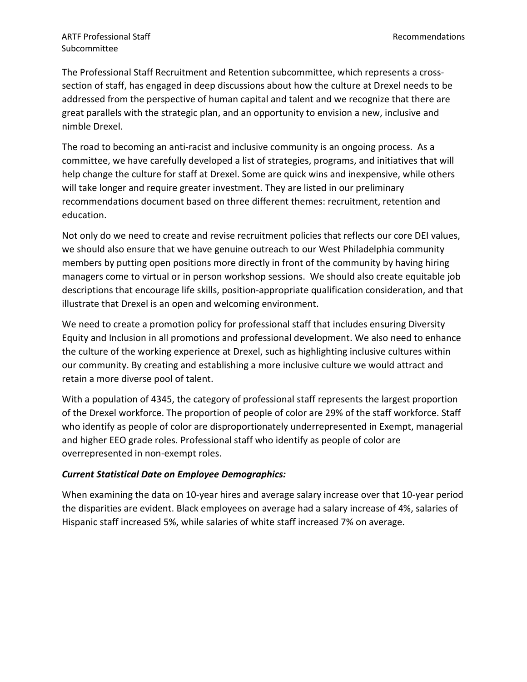The Professional Staff Recruitment and Retention subcommittee, which represents a crosssection of staff, has engaged in deep discussions about how the culture at Drexel needs to be addressed from the perspective of human capital and talent and we recognize that there are great parallels with the strategic plan, and an opportunity to envision a new, inclusive and nimble Drexel.

The road to becoming an anti-racist and inclusive community is an ongoing process. As a committee, we have carefully developed a list of strategies, programs, and initiatives that will help change the culture for staff at Drexel. Some are quick wins and inexpensive, while others will take longer and require greater investment. They are listed in our preliminary recommendations document based on three different themes: recruitment, retention and education.

Not only do we need to create and revise recruitment policies that reflects our core DEI values, we should also ensure that we have genuine outreach to our West Philadelphia community members by putting open positions more directly in front of the community by having hiring managers come to virtual or in person workshop sessions. We should also create equitable job descriptions that encourage life skills, position-appropriate qualification consideration, and that illustrate that Drexel is an open and welcoming environment.

We need to create a promotion policy for professional staff that includes ensuring Diversity Equity and Inclusion in all promotions and professional development. We also need to enhance the culture of the working experience at Drexel, such as highlighting inclusive cultures within our community. By creating and establishing a more inclusive culture we would attract and retain a more diverse pool of talent.

With a population of 4345, the category of professional staff represents the largest proportion of the Drexel workforce. The proportion of people of color are 29% of the staff workforce. Staff who identify as people of color are disproportionately underrepresented in Exempt, managerial and higher EEO grade roles. Professional staff who identify as people of color are overrepresented in non-exempt roles.

## *Current Statistical Date on Employee Demographics:*

When examining the data on 10-year hires and average salary increase over that 10-year period the disparities are evident. Black employees on average had a salary increase of 4%, salaries of Hispanic staff increased 5%, while salaries of white staff increased 7% on average.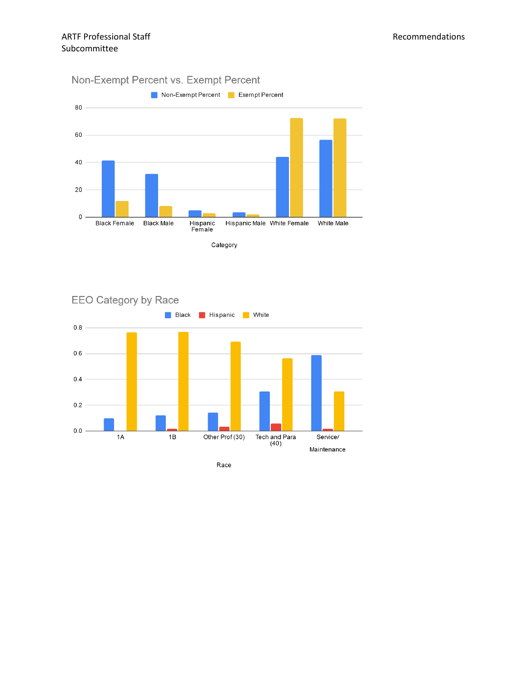



Race